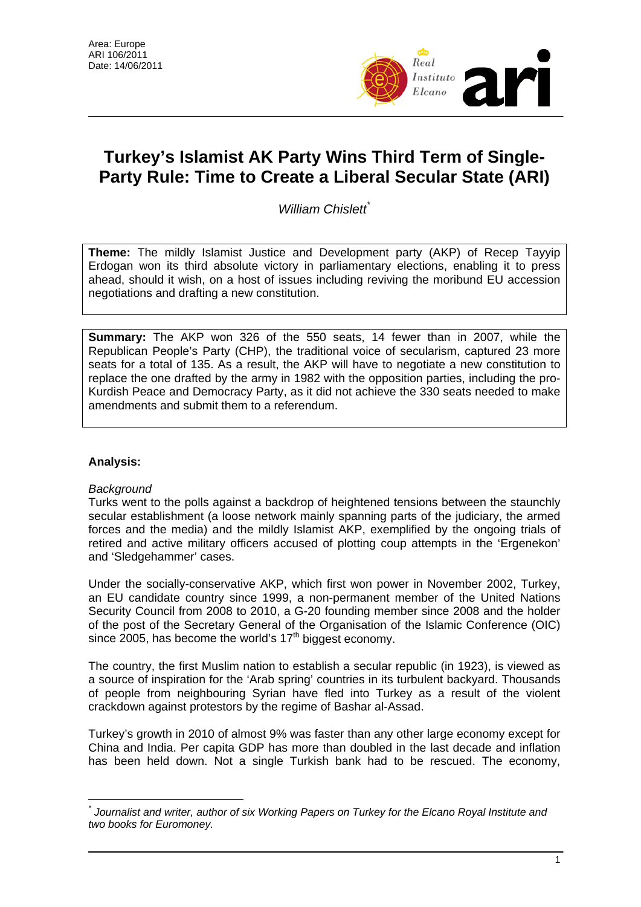

# **Turkey's Islamist AK Party Wins Third Term of Single-Party Rule: Time to Create a Liberal Secular State (ARI)**

*William Chislett*[\\*](#page-0-0)

**Theme:** The mildly Islamist Justice and Development party (AKP) of Recep Tayyip Erdogan won its third absolute victory in parliamentary elections, enabling it to press ahead, should it wish, on a host of issues including reviving the moribund EU accession negotiations and drafting a new constitution.

**Summary:** The AKP won 326 of the 550 seats, 14 fewer than in 2007, while the Republican People's Party (CHP), the traditional voice of secularism, captured 23 more seats for a total of 135. As a result, the AKP will have to negotiate a new constitution to replace the one drafted by the army in 1982 with the opposition parties, including the pro-Kurdish Peace and Democracy Party, as it did not achieve the 330 seats needed to make amendments and submit them to a referendum.

## **Analysis:**

## *Background*

Turks went to the polls against a backdrop of heightened tensions between the staunchly secular establishment (a loose network mainly spanning parts of the judiciary, the armed forces and the media) and the mildly Islamist AKP, exemplified by the ongoing trials of retired and active military officers accused of plotting coup attempts in the 'Ergenekon' and 'Sledgehammer' cases.

Under the socially-conservative AKP, which first won power in November 2002, Turkey, an EU candidate country since 1999, a non-permanent member of the United Nations Security Council from 2008 to 2010, a G-20 founding member since 2008 and the holder of the post of the Secretary General of the Organisation of the Islamic Conference (OIC) since 2005, has become the world's  $17<sup>th</sup>$  biggest economy.

The country, the first Muslim nation to establish a secular republic (in 1923), is viewed as a source of inspiration for the 'Arab spring' countries in its turbulent backyard. Thousands of people from neighbouring Syrian have fled into Turkey as a result of the violent crackdown against protestors by the regime of Bashar al-Assad.

Turkey's growth in 2010 of almost 9% was faster than any other large economy except for China and India. Per capita GDP has more than doubled in the last decade and inflation has been held down. Not a single Turkish bank had to be rescued. The economy,

<span id="page-0-0"></span> $\overline{a}$ *\* Journalist and writer, author of six Working Papers on Turkey for the Elcano Royal Institute and two books for Euromoney.*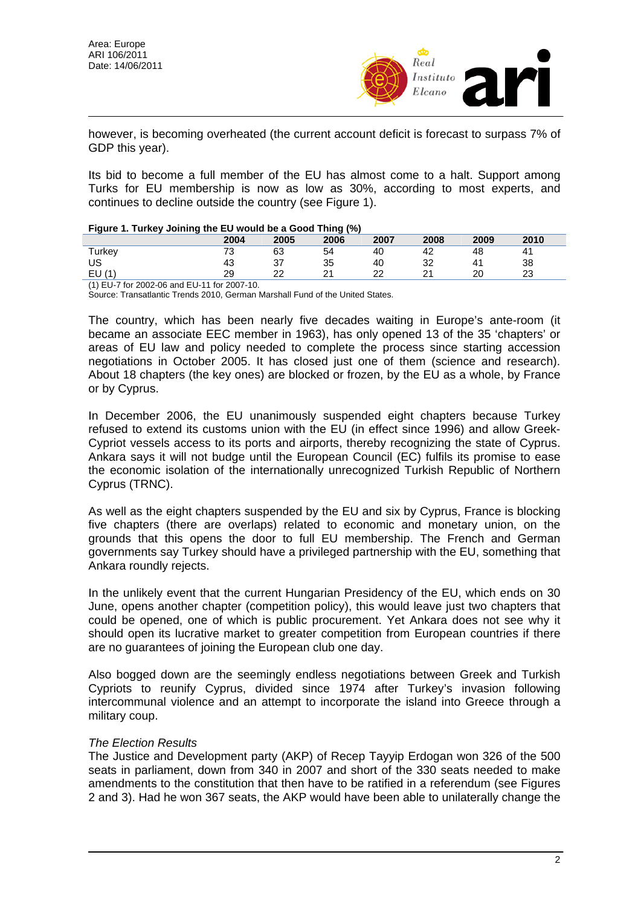

however, is becoming overheated (the current account deficit is forecast to surpass 7% of GDP this year).

Its bid to become a full member of the EU has almost come to a halt. Support among Turks for EU membership is now as low as 30%, according to most experts, and continues to decline outside the country (see Figure 1).

#### **Figure 1. Turkey Joining the EU would be a Good Thing (%)**

| <b>Tryangers</b> in tarkey commig and ED would be a Good Thing (70) |      |      |      |      |          |      |         |  |  |  |  |
|---------------------------------------------------------------------|------|------|------|------|----------|------|---------|--|--|--|--|
|                                                                     | 2004 | 2005 | 2006 | 2007 | 2008     | 2009 | 2010    |  |  |  |  |
| $\mathsf{r}_\mathsf{urkeV}$                                         | . J  | 63   | 54   | 40   | 44       | 48   | Δ΄      |  |  |  |  |
| US                                                                  | 43   | 27   | 35   | 40   | າາ<br>ັ້ |      | 38      |  |  |  |  |
| ∟∪                                                                  | 29   | ົ    |      | ∩י   |          | 20   | ົ<br>ںے |  |  |  |  |

(1) EU-7 for 2002-06 and EU-11 for 2007-10.

Source: Transatlantic Trends 2010, German Marshall Fund of the United States.

The country, which has been nearly five decades waiting in Europe's ante-room (it became an associate EEC member in 1963), has only opened 13 of the 35 'chapters' or areas of EU law and policy needed to complete the process since starting accession negotiations in October 2005. It has closed just one of them (science and research). About 18 chapters (the key ones) are blocked or frozen, by the EU as a whole, by France or by Cyprus.

In December 2006, the EU unanimously suspended eight chapters because Turkey refused to extend its customs union with the EU (in effect since 1996) and allow Greek-Cypriot vessels access to its ports and airports, thereby recognizing the state of Cyprus. Ankara says it will not budge until the European Council (EC) fulfils its promise to ease the economic isolation of the internationally unrecognized Turkish Republic of Northern Cyprus (TRNC).

As well as the eight chapters suspended by the EU and six by Cyprus, France is blocking five chapters (there are overlaps) related to economic and monetary union, on the grounds that this opens the door to full EU membership. The French and German governments say Turkey should have a privileged partnership with the EU, something that Ankara roundly rejects.

In the unlikely event that the current Hungarian Presidency of the EU, which ends on 30 June, opens another chapter (competition policy), this would leave just two chapters that could be opened, one of which is public procurement. Yet Ankara does not see why it should open its lucrative market to greater competition from European countries if there are no guarantees of joining the European club one day.

Also bogged down are the seemingly endless negotiations between Greek and Turkish Cypriots to reunify Cyprus, divided since 1974 after Turkey's invasion following intercommunal violence and an attempt to incorporate the island into Greece through a military coup.

### *The Election Results*

The Justice and Development party (AKP) of Recep Tayyip Erdogan won 326 of the 500 seats in parliament, down from 340 in 2007 and short of the 330 seats needed to make amendments to the constitution that then have to be ratified in a referendum (see Figures 2 and 3). Had he won 367 seats, the AKP would have been able to unilaterally change the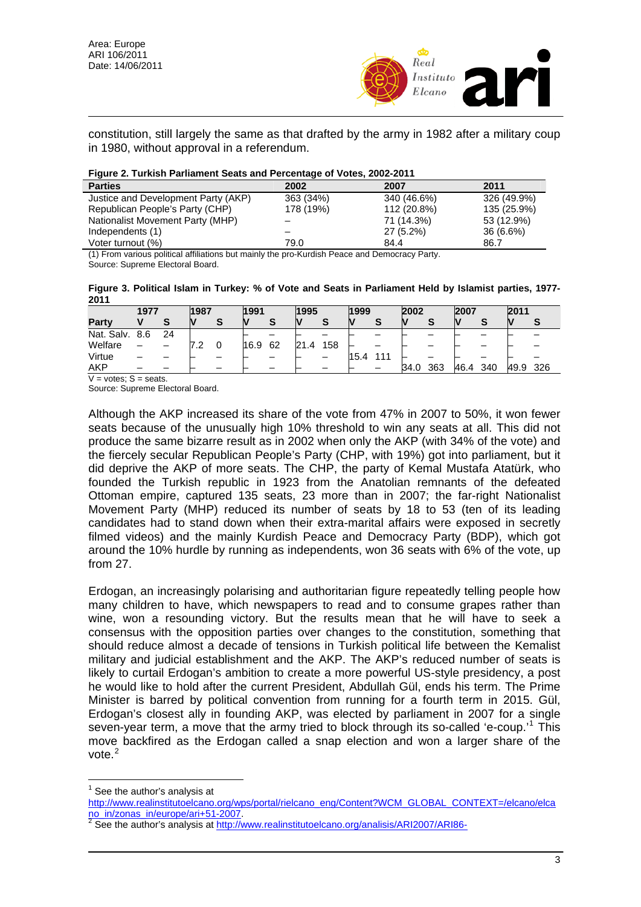

constitution, still largely the same as that drafted by the army in 1982 after a military coup in 1980, without approval in a referendum.

|  |  |  |  |  | Figure 2. Turkish Parliament Seats and Percentage of Votes, 2002-2011 |
|--|--|--|--|--|-----------------------------------------------------------------------|
|--|--|--|--|--|-----------------------------------------------------------------------|

| <b>Parties</b>                      | 2002      | 2007        | 2011        |
|-------------------------------------|-----------|-------------|-------------|
| Justice and Development Party (AKP) | 363 (34%) | 340 (46.6%) | 326 (49.9%) |
| Republican People's Party (CHP)     | 178 (19%) | 112 (20.8%) | 135 (25.9%) |
| Nationalist Movement Party (MHP)    |           | 71 (14.3%)  | 53 (12.9%)  |
| Independents (1)                    |           | $27(5.2\%)$ | $36(6.6\%)$ |
| Voter turnout (%)                   | 79.0      | 84.4        | 86.7        |

(1) From various political affiliations but mainly the pro-Kurdish Peace and Democracy Party. Source: Supreme Electoral Board.

**Figure 3. Political Islam in Turkey: % of Vote and Seats in Parliament Held by Islamist parties, 1977- 2011** 

|              | 1977 |    | 1987       | 1991 |    | 1995     |     | 1999     |     | 2002 |     | 2007 |     | 2011 |     |
|--------------|------|----|------------|------|----|----------|-----|----------|-----|------|-----|------|-----|------|-----|
| Party        |      | œ  |            |      |    |          | O   | <b>N</b> | s   | V    | S   | N    |     |      |     |
| Nat. Salv.   | 8.6  | 24 |            |      |    |          |     |          |     |      |     |      |     |      |     |
| Welfare      |      |    | . <u>.</u> | 16.9 | 62 | 21<br>.4 | 158 |          |     |      |     |      |     |      |     |
| Virtue       |      |    |            |      |    |          |     | 15.4     | 111 |      |     |      |     |      |     |
| AKP          |      |    |            |      |    |          |     |          |     | 34.0 | 363 | 46.4 | 340 | 49.9 | 326 |
| $\mathbf{v}$ | .    |    |            |      |    |          |     |          |     |      |     |      |     |      |     |

 $V = v$ otes;  $S =$ seats.

Source: Supreme Electoral Board.

Although the AKP increased its share of the vote from 47% in 2007 to 50%, it won fewer seats because of the unusually high 10% threshold to win any seats at all. This did not produce the same bizarre result as in 2002 when only the AKP (with 34% of the vote) and the fiercely secular Republican People's Party (CHP, with 19%) got into parliament, but it did deprive the AKP of more seats. The CHP, the party of Kemal Mustafa Atatürk, who founded the Turkish republic in 1923 from the Anatolian remnants of the defeated Ottoman empire, captured 135 seats, 23 more than in 2007; the far-right Nationalist Movement Party (MHP) reduced its number of seats by 18 to 53 (ten of its leading candidates had to stand down when their extra-marital affairs were exposed in secretly filmed videos) and the mainly Kurdish Peace and Democracy Party (BDP), which got around the 10% hurdle by running as independents, won 36 seats with 6% of the vote, up from 27.

Erdogan, an increasingly polarising and authoritarian figure repeatedly telling people how many children to have, which newspapers to read and to consume grapes rather than wine, won a resounding victory. But the results mean that he will have to seek a consensus with the opposition parties over changes to the constitution, something that should reduce almost a decade of tensions in Turkish political life between the Kemalist military and judicial establishment and the AKP. The AKP's reduced number of seats is likely to curtail Erdogan's ambition to create a more powerful US-style presidency, a post he would like to hold after the current President, Abdullah Gül, ends his term. The Prime Minister is barred by political convention from running for a fourth term in 2015. Gül, Erdogan's closest ally in founding AKP, was elected by parliament in 2007 for a single seven-year term, a move that the army tried to block through its so-called 'e-coup.'<sup>[1](#page-2-0)</sup> This move backfired as the Erdogan called a snap election and won a larger share of the vote.<sup>2</sup>

<span id="page-2-0"></span> $\overline{1}$ 1 See the author's analysis at

[http://www.realinstitutoelcano.org/wps/p](http://www.realinstitutoelcano.org/wps/portal/rielcano_eng/Content?WCM_GLOBAL_CONTEXT=/elcano/elcano_in/zonas_in/europe/ari+51-2007)ortal/rielcano\_eng/Content?WCM\_GLOBAL\_CONTEXT=/elcano/elca [n](http://www.realinstitutoelcano.org/analisis/ARI2007/ARI86-2007_Chislett_Turkey_Elections_Islamists_Seculars.pdf)o in/zonas in/europe/ari+51-2007.

[See the author's analysis at](http://www.realinstitutoelcano.org/analisis/ARI2007/ARI86-2007_Chislett_Turkey_Elections_Islamists_Seculars.pdf) http://www.realinstitutoelcano.org/analisis/ARI2007/ARI86-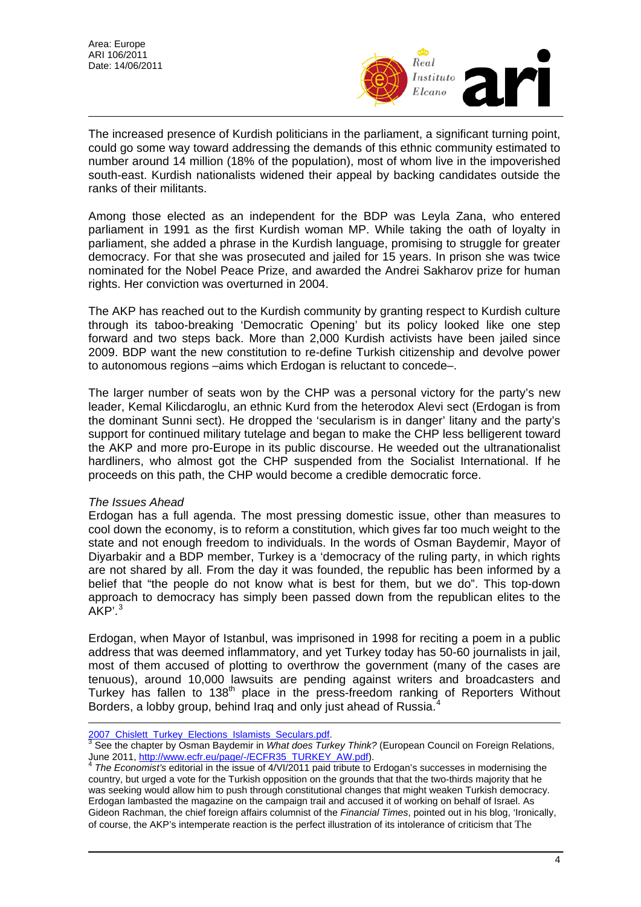

The increased presence of Kurdish politicians in the parliament, a significant turning point, could go some way toward addressing the demands of this ethnic community estimated to number around 14 million (18% of the population), most of whom live in the impoverished south-east. Kurdish nationalists widened their appeal by backing candidates outside the ranks of their militants.

Among those elected as an independent for the BDP was Leyla Zana, who entered parliament in 1991 as the first Kurdish woman MP. While taking the oath of loyalty in parliament, she added a phrase in the Kurdish language, promising to struggle for greater democracy. For that she was prosecuted and jailed for 15 years. In prison she was twice nominated for the Nobel Peace Prize, and awarded the Andrei Sakharov prize for human rights. Her conviction was overturned in 2004.

The AKP has reached out to the Kurdish community by granting respect to Kurdish culture through its taboo-breaking 'Democratic Opening' but its policy looked like one step forward and two steps back. More than 2,000 Kurdish activists have been jailed since 2009. BDP want the new constitution to re-define Turkish citizenship and devolve power to autonomous regions –aims which Erdogan is reluctant to concede–.

The larger number of seats won by the CHP was a personal victory for the party's new leader, Kemal Kilicdaroglu, an ethnic Kurd from the heterodox Alevi sect (Erdogan is from the dominant Sunni sect). He dropped the 'secularism is in danger' litany and the party's support for continued military tutelage and began to make the CHP less belligerent toward the AKP and more pro-Europe in its public discourse. He weeded out the ultranationalist hardliners, who almost got the CHP suspended from the Socialist International. If he proceeds on this path, the CHP would become a credible democratic force.

## *The Issues Ahead*

 $\overline{a}$ 

Erdogan has a full agenda. The most pressing domestic issue, other than measures to cool down the economy, is to reform a constitution, which gives far too much weight to the state and not enough freedom to individuals. In the words of Osman Baydemir, Mayor of Diyarbakir and a BDP member, Turkey is a 'democracy of the ruling party, in which rights are not shared by all. From the day it was founded, the republic has been informed by a belief that "the people do not know what is best for them, but we do". This top-down approach to democracy has simply been passed down from the republican elites to the AKP' [3](#page-3-0)

Erdogan, when Mayor of Istanbul, was imprisoned in 1998 for reciting a poem in a public address that was deemed inflammatory, and yet Turkey today has 50-60 journalists in jail, most of them accused of plotting to overthrow the government (many of the cases are tenuous), around 10,000 lawsuits are pending against writers and broadcasters and Turkey has fallen to 138<sup>th</sup> place in the press-freedom ranking of Reporters Without Borders, a lobby group, behind Iraq and only just ahead of Russia.

<span id="page-3-0"></span>[<sup>2</sup>](http://www.ecfr.eu/page/-/ECFR35_TURKEY_AW.pdf)007\_Chislett\_Turkey\_Elections\_Islamists\_Seculars.pdf.<br><sup>3</sup> [See the chapter by Osman Baydemir in](http://www.ecfr.eu/page/-/ECFR35_TURKEY_AW.pdf) *What does Turkey Think?* (European Council on Foreign Relations, June 2011, http://www.ecfr.eu/page/-/ECFR35\_TURKEY\_AW.pdf). 4 *The Economist's* editorial in the issue of 4/VI/2011 paid tribute to Erdogan's successes in modernising the

<span id="page-3-1"></span>country, but urged a vote for the Turkish opposition on the grounds that that the two-thirds majority that he was seeking would allow him to push through constitutional changes that might weaken Turkish democrac y. Erdogan lambasted the magazine on the campaign trail and accused it of working on behalf of Israel. As Gideon Rachman, the chief foreign affairs columnist of the *Financial Times*, pointed out in his blog, 'Ironically, of course, the AKP's intemperate reaction is the perfect illustration of its intolerance of criticism that The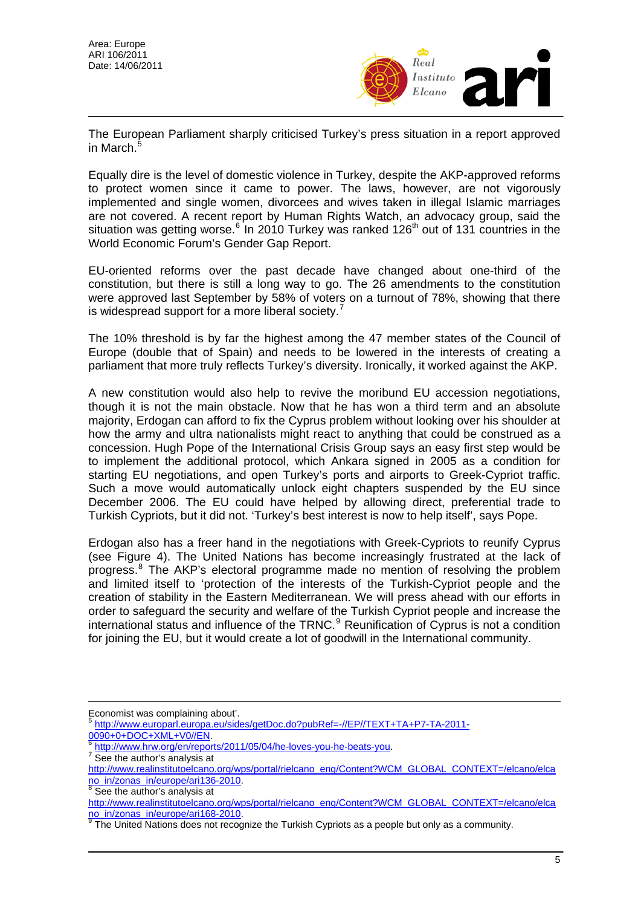

The European Parliament sharply criticised Turkey's press situation in a report approved in March.<sup>[5](#page-4-0)</sup>

Equally dire is the level of domestic violence in Turkey, despite the AKP-approved reforms to protect women since it came to power. The laws, however, are not vigorously implemented and single women, divorcees and wives taken in illegal Islamic marriages are not covered. A recent report by Human Rights Watch, an advocacy group, said the situation was getting worse.<sup>[6](#page-4-1)</sup> In 2010 Turkey was ranked 126<sup>th</sup> out of 131 countries in the World Economic Forum's Gender Gap Report.

EU-oriented reforms over the past decade have changed about one-third of the constitution, but there is still a long way to go. The 26 amendments to the constitution were approved last September by 58% of voters on a turnout of 78%, showing that there is widespread support for a more liberal society.<sup>[7](#page-4-2)</sup>

The 10% threshold is by far the highest among the 47 member states of the Council of Europe (double that of Spain) and needs to be lowered in the interests of creating a parliament that more truly reflects Turkey's diversity. Ironically, it worked against the AKP.

A new constitution would also help to revive the moribund EU accession negotiations, though it is not the main obstacle. Now that he has won a third term and an absolute majority, Erdogan can afford to fix the Cyprus problem without looking over his shoulder at how the army and ultra nationalists might react to anything that could be construed as a concession. Hugh Pope of the International Crisis Group says an easy first step would be to implement the additional protocol, which Ankara signed in 2005 as a condition for starting EU negotiations, and open Turkey's ports and airports to Greek-Cypriot traffic. Such a move would automatically unlock eight chapters suspended by the EU since December 2006. The EU could have helped by allowing direct, preferential trade to Turkish Cypriots, but it did not. 'Turkey's best interest is now to help itself', says Pope.

Erdogan also has a freer hand in the negotiations with Greek-Cypriots to reunify Cyprus (see Figure 4). The United Nations has become increasingly frustrated at the lack of progress.<sup>[8](#page-4-3)</sup> The AKP's electoral programme made no mention of resolving the problem and limited itself to 'protection of the interests of the Turkish-Cypriot people and the creation of stability in the Eastern Mediterranean. We will press ahead with our efforts in order to safeguard the security and welfare of the Turkish Cypriot people and increase the international status and influence of the TRNC.<sup>[9](#page-4-4)</sup> Reunification of Cyprus is not a condition for joining the EU, but it would create a lot of goodwill in the International community.

 $\overline{a}$ 

<span id="page-4-0"></span>Economist was complaining about'.

<sup>&</sup>lt;sup>5</sup> [http://www.europarl.europa.eu/sides/getDoc.do?pubRef=-//EP//TEXT+TA+P7-TA-2011-](http://www.europarl.europa.eu/sides/getDoc.do?pubRef=-//EP//TEXT+TA+P7-TA-2011-0090+0+DOC+XML+V0//EN)<br>0090+0+DOC+XML+V0//EN.

<span id="page-4-1"></span> $\frac{6}{1}$  $\frac{6}{1}$  $\frac{6}{1}$  [http://www.hrw.org/en/reports/2011/05/04/he-loves-you-he-beats-you.](http://www.hrw.org/en/reports/2011/05/04/he-loves-you-he-beats-you)

See the author's analysis at

<span id="page-4-2"></span>[http://www.realinstitutoelcano.org/wps/portal/rielcano\\_eng/Content?WCM\\_GLOBAL\\_CONTEXT=/elcano/elca](http://www.realinstitutoelcano.org/wps/portal/rielcano_eng/Content?WCM_GLOBAL_CONTEXT=/elcano/elcano_in/zonas_in/europe/ari136-2010) [no\\_in/zonas\\_in/europe/ari136-2010.](http://www.realinstitutoelcano.org/wps/portal/rielcano_eng/Content?WCM_GLOBAL_CONTEXT=/elcano/elcano_in/zonas_in/europe/ari136-2010)

<span id="page-4-3"></span>See the author's analysis at [http://www.realinstitutoelcano.org/wps/portal/rielcano\\_eng/Content?WCM\\_GLOBAL\\_CONTEXT=/elcano/elca](http://www.realinstitutoelcano.org/wps/portal/rielcano_eng/Content?WCM_GLOBAL_CONTEXT=/elcano/elcano_in/zonas_in/europe/ari168-2010) no in/zonas in/europe/ari168-2010.

<span id="page-4-4"></span>The United Nations does not recognize the Turkish Cypriots as a people but only as a community.